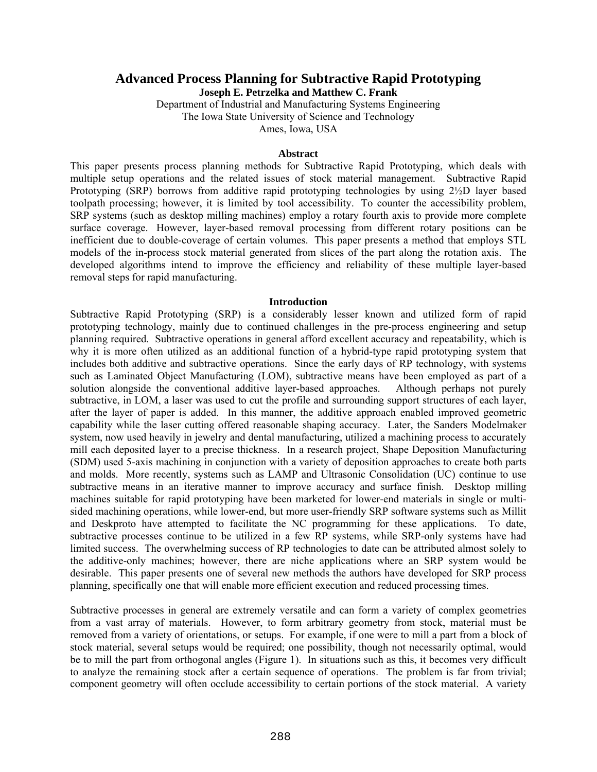# **Advanced Process Planning for Subtractive Rapid Prototyping**

**Joseph E. Petrzelka and Matthew C. Frank** 

Department of Industrial and Manufacturing Systems Engineering The Iowa State University of Science and Technology Ames, Iowa, USA

#### **Abstract**

This paper presents process planning methods for Subtractive Rapid Prototyping, which deals with multiple setup operations and the related issues of stock material management. Subtractive Rapid Prototyping (SRP) borrows from additive rapid prototyping technologies by using 2½D layer based toolpath processing; however, it is limited by tool accessibility. To counter the accessibility problem, SRP systems (such as desktop milling machines) employ a rotary fourth axis to provide more complete surface coverage. However, layer-based removal processing from different rotary positions can be inefficient due to double-coverage of certain volumes. This paper presents a method that employs STL models of the in-process stock material generated from slices of the part along the rotation axis. The developed algorithms intend to improve the efficiency and reliability of these multiple layer-based removal steps for rapid manufacturing.

#### **Introduction**

Subtractive Rapid Prototyping (SRP) is a considerably lesser known and utilized form of rapid prototyping technology, mainly due to continued challenges in the pre-process engineering and setup planning required. Subtractive operations in general afford excellent accuracy and repeatability, which is why it is more often utilized as an additional function of a hybrid-type rapid prototyping system that includes both additive and subtractive operations. Since the early days of RP technology, with systems such as Laminated Object Manufacturing (LOM), subtractive means have been employed as part of a solution alongside the conventional additive layer-based approaches. Although perhaps not purely subtractive, in LOM, a laser was used to cut the profile and surrounding support structures of each layer, after the layer of paper is added. In this manner, the additive approach enabled improved geometric capability while the laser cutting offered reasonable shaping accuracy. Later, the Sanders Modelmaker system, now used heavily in jewelry and dental manufacturing, utilized a machining process to accurately mill each deposited layer to a precise thickness. In a research project, Shape Deposition Manufacturing (SDM) used 5-axis machining in conjunction with a variety of deposition approaches to create both parts and molds. More recently, systems such as LAMP and Ultrasonic Consolidation (UC) continue to use subtractive means in an iterative manner to improve accuracy and surface finish. Desktop milling machines suitable for rapid prototyping have been marketed for lower-end materials in single or multisided machining operations, while lower-end, but more user-friendly SRP software systems such as Millit and Deskproto have attempted to facilitate the NC programming for these applications. To date, subtractive processes continue to be utilized in a few RP systems, while SRP-only systems have had limited success. The overwhelming success of RP technologies to date can be attributed almost solely to the additive-only machines; however, there are niche applications where an SRP system would be desirable. This paper presents one of several new methods the authors have developed for SRP process planning, specifically one that will enable more efficient execution and reduced processing times.

Subtractive processes in general are extremely versatile and can form a variety of complex geometries from a vast array of materials. However, to form arbitrary geometry from stock, material must be removed from a variety of orientations, or setups. For example, if one were to mill a part from a block of stock material, several setups would be required; one possibility, though not necessarily optimal, would be to mill the part from orthogonal angles (Figure 1). In situations such as this, it becomes very difficult to analyze the remaining stock after a certain sequence of operations. The problem is far from trivial; component geometry will often occlude accessibility to certain portions of the stock material. A variety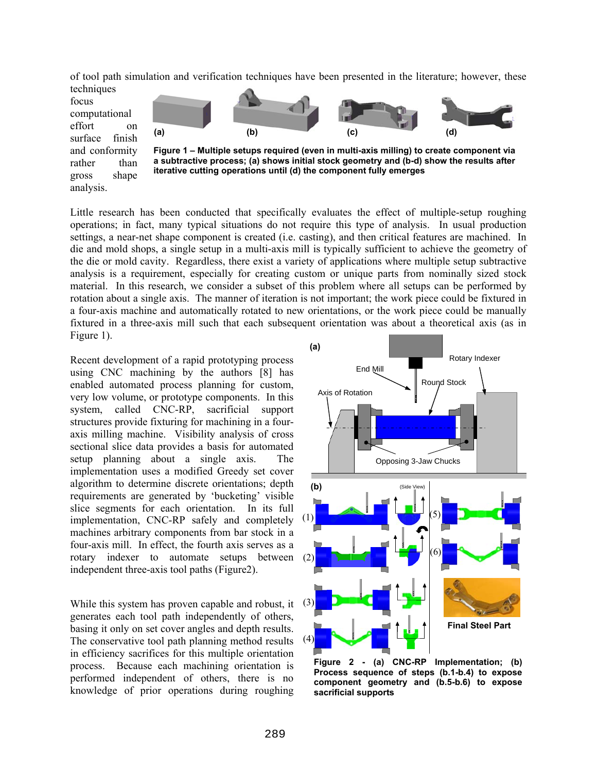of tool path simulation and verification techniques have been presented in the literature; however, these

techniques focus computational effort on surface finish and conformity rather than gross shape analysis. **Figure 1 – Multiple setups required (even in multi-axis milling) to create component via a subtractive process; (a) shows initial stock geometry and (b-d) show the results after iterative cutting operations until (d) the component fully emerges (a) (b) (c) (d)** 

Little research has been conducted that specifically evaluates the effect of multiple-setup roughing operations; in fact, many typical situations do not require this type of analysis. In usual production settings, a near-net shape component is created (i.e. casting), and then critical features are machined. In die and mold shops, a single setup in a multi-axis mill is typically sufficient to achieve the geometry of the die or mold cavity. Regardless, there exist a variety of applications where multiple setup subtractive analysis is a requirement, especially for creating custom or unique parts from nominally sized stock material. In this research, we consider a subset of this problem where all setups can be performed by rotation about a single axis. The manner of iteration is not important; the work piece could be fixtured in a four-axis machine and automatically rotated to new orientations, or the work piece could be manually fixtured in a three-axis mill such that each subsequent orientation was about a theoretical axis (as in Figure 1).

Recent development of a rapid prototyping process using CNC machining by the authors [8] has enabled automated process planning for custom, very low volume, or prototype components. In this system, called CNC-RP, sacrificial support structures provide fixturing for machining in a fouraxis milling machine. Visibility analysis of cross sectional slice data provides a basis for automated setup planning about a single axis. The implementation uses a modified Greedy set cover algorithm to determine discrete orientations; depth requirements are generated by 'bucketing' visible slice segments for each orientation. In its full implementation, CNC-RP safely and completely machines arbitrary components from bar stock in a four-axis mill. In effect, the fourth axis serves as a rotary indexer to automate setups between independent three-axis tool paths (Figure2).

While this system has proven capable and robust, it generates each tool path independently of others, basing it only on set cover angles and depth results. The conservative tool path planning method results in efficiency sacrifices for this multiple orientation process. Because each machining orientation is performed independent of others, there is no knowledge of prior operations during roughing



**Figure 2 - (a) CNC-RP Implementation; (b) Process sequence of steps (b.1-b.4) to expose component geometry and (b.5-b.6) to expose sacrificial supports**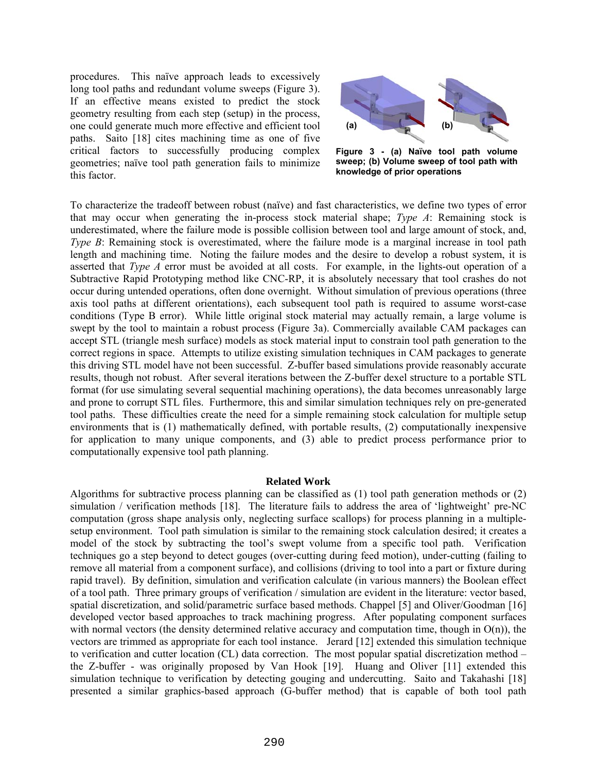procedures. This naïve approach leads to excessively long tool paths and redundant volume sweeps (Figure 3). If an effective means existed to predict the stock geometry resulting from each step (setup) in the process, one could generate much more effective and efficient tool paths. Saito [18] cites machining time as one of five critical factors to successfully producing complex geometries; naïve tool path generation fails to minimize this factor.



**Figure 3 - (a) Naïve tool path volume sweep; (b) Volume sweep of tool path with knowledge of prior operations** 

To characterize the tradeoff between robust (naïve) and fast characteristics, we define two types of error that may occur when generating the in-process stock material shape; *Type A*: Remaining stock is underestimated, where the failure mode is possible collision between tool and large amount of stock, and, *Type B*: Remaining stock is overestimated, where the failure mode is a marginal increase in tool path length and machining time. Noting the failure modes and the desire to develop a robust system, it is asserted that *Type A* error must be avoided at all costs. For example, in the lights-out operation of a Subtractive Rapid Prototyping method like CNC-RP, it is absolutely necessary that tool crashes do not occur during untended operations, often done overnight. Without simulation of previous operations (three axis tool paths at different orientations), each subsequent tool path is required to assume worst-case conditions (Type B error). While little original stock material may actually remain, a large volume is swept by the tool to maintain a robust process (Figure 3a). Commercially available CAM packages can accept STL (triangle mesh surface) models as stock material input to constrain tool path generation to the correct regions in space. Attempts to utilize existing simulation techniques in CAM packages to generate this driving STL model have not been successful. Z-buffer based simulations provide reasonably accurate results, though not robust. After several iterations between the Z-buffer dexel structure to a portable STL format (for use simulating several sequential machining operations), the data becomes unreasonably large and prone to corrupt STL files. Furthermore, this and similar simulation techniques rely on pre-generated tool paths. These difficulties create the need for a simple remaining stock calculation for multiple setup environments that is (1) mathematically defined, with portable results, (2) computationally inexpensive for application to many unique components, and (3) able to predict process performance prior to computationally expensive tool path planning.

### **Related Work**

Algorithms for subtractive process planning can be classified as (1) tool path generation methods or (2) simulation / verification methods [18]. The literature fails to address the area of 'lightweight' pre-NC computation (gross shape analysis only, neglecting surface scallops) for process planning in a multiplesetup environment. Tool path simulation is similar to the remaining stock calculation desired; it creates a model of the stock by subtracting the tool's swept volume from a specific tool path. Verification techniques go a step beyond to detect gouges (over-cutting during feed motion), under-cutting (failing to remove all material from a component surface), and collisions (driving to tool into a part or fixture during rapid travel). By definition, simulation and verification calculate (in various manners) the Boolean effect of a tool path. Three primary groups of verification / simulation are evident in the literature: vector based, spatial discretization, and solid/parametric surface based methods. Chappel [5] and Oliver/Goodman [16] developed vector based approaches to track machining progress. After populating component surfaces with normal vectors (the density determined relative accuracy and computation time, though in  $O(n)$ ), the vectors are trimmed as appropriate for each tool instance. Jerard [12] extended this simulation technique to verification and cutter location (CL) data correction. The most popular spatial discretization method – the Z-buffer - was originally proposed by Van Hook [19]. Huang and Oliver [11] extended this simulation technique to verification by detecting gouging and undercutting. Saito and Takahashi [18] presented a similar graphics-based approach (G-buffer method) that is capable of both tool path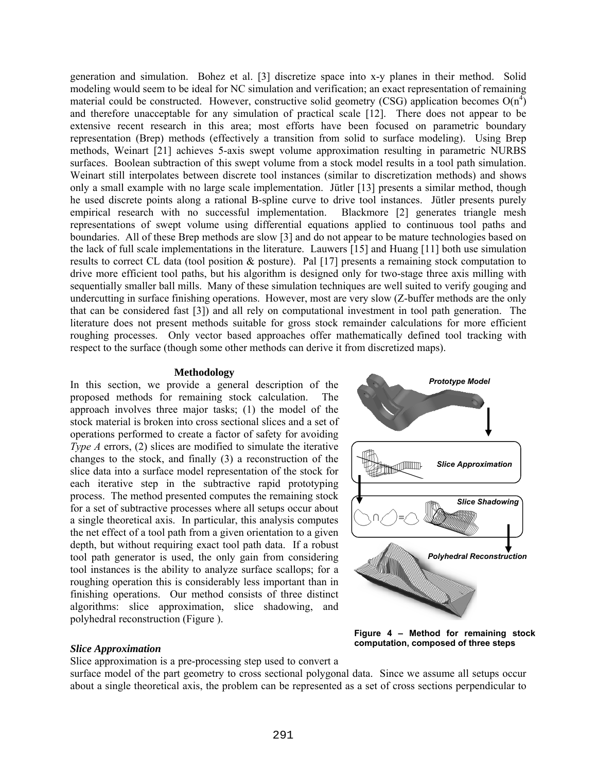generation and simulation. Bohez et al. [3] discretize space into x-y planes in their method. Solid modeling would seem to be ideal for NC simulation and verification; an exact representation of remaining material could be constructed. However, constructive solid geometry (CSG) application becomes  $O(n^4)$ and therefore unacceptable for any simulation of practical scale [12]. There does not appear to be extensive recent research in this area; most efforts have been focused on parametric boundary representation (Brep) methods (effectively a transition from solid to surface modeling). Using Brep methods, Weinart [21] achieves 5-axis swept volume approximation resulting in parametric NURBS surfaces. Boolean subtraction of this swept volume from a stock model results in a tool path simulation. Weinart still interpolates between discrete tool instances (similar to discretization methods) and shows only a small example with no large scale implementation. Jütler [13] presents a similar method, though he used discrete points along a rational B-spline curve to drive tool instances. Jütler presents purely empirical research with no successful implementation. Blackmore [2] generates triangle mesh representations of swept volume using differential equations applied to continuous tool paths and boundaries. All of these Brep methods are slow [3] and do not appear to be mature technologies based on the lack of full scale implementations in the literature. Lauwers [15] and Huang [11] both use simulation results to correct CL data (tool position & posture). Pal [17] presents a remaining stock computation to drive more efficient tool paths, but his algorithm is designed only for two-stage three axis milling with sequentially smaller ball mills. Many of these simulation techniques are well suited to verify gouging and undercutting in surface finishing operations. However, most are very slow (Z-buffer methods are the only that can be considered fast [3]) and all rely on computational investment in tool path generation. The literature does not present methods suitable for gross stock remainder calculations for more efficient roughing processes. Only vector based approaches offer mathematically defined tool tracking with respect to the surface (though some other methods can derive it from discretized maps).

## **Methodology**

In this section, we provide a general description of the proposed methods for remaining stock calculation. The approach involves three major tasks; (1) the model of the stock material is broken into cross sectional slices and a set of operations performed to create a factor of safety for avoiding *Type A* errors, (2) slices are modified to simulate the iterative changes to the stock, and finally (3) a reconstruction of the slice data into a surface model representation of the stock for each iterative step in the subtractive rapid prototyping process. The method presented computes the remaining stock for a set of subtractive processes where all setups occur about a single theoretical axis. In particular, this analysis computes the net effect of a tool path from a given orientation to a given depth, but without requiring exact tool path data. If a robust tool path generator is used, the only gain from considering tool instances is the ability to analyze surface scallops; for a roughing operation this is considerably less important than in finishing operations. Our method consists of three distinct algorithms: slice approximation, slice shadowing, and polyhedral reconstruction (Figure ).

# *Prototype Model* THE QUILID *Slice Approximation Slice Shadowing*  **∩ =** *Polyhedral Reconstruction*

#### **Figure 4 – Method for remaining stock computation, composed of three steps**

# *Slice Approximation*

Slice approximation is a pre-processing step used to convert a

surface model of the part geometry to cross sectional polygonal data. Since we assume all setups occur about a single theoretical axis, the problem can be represented as a set of cross sections perpendicular to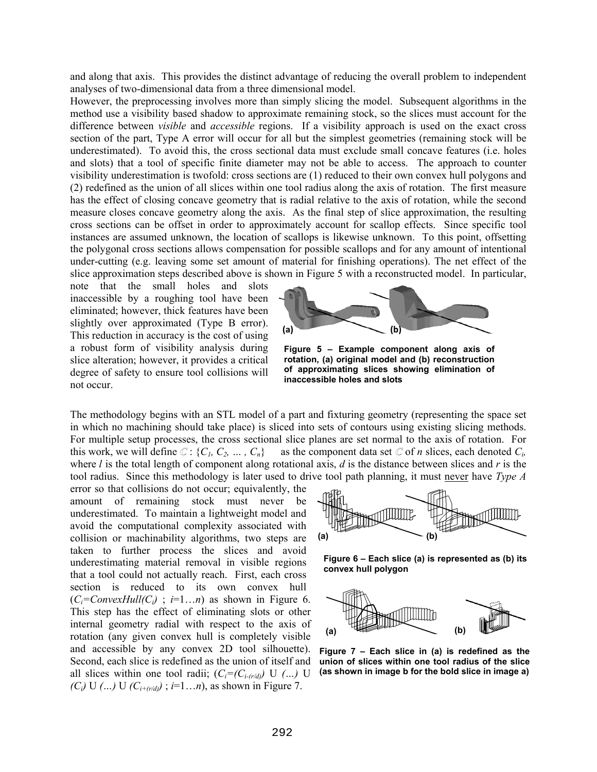and along that axis. This provides the distinct advantage of reducing the overall problem to independent analyses of two-dimensional data from a three dimensional model.

However, the preprocessing involves more than simply slicing the model. Subsequent algorithms in the method use a visibility based shadow to approximate remaining stock, so the slices must account for the difference between *visible* and *accessible* regions. If a visibility approach is used on the exact cross section of the part, Type A error will occur for all but the simplest geometries (remaining stock will be underestimated). To avoid this, the cross sectional data must exclude small concave features (i.e. holes and slots) that a tool of specific finite diameter may not be able to access. The approach to counter visibility underestimation is twofold: cross sections are (1) reduced to their own convex hull polygons and (2) redefined as the union of all slices within one tool radius along the axis of rotation. The first measure has the effect of closing concave geometry that is radial relative to the axis of rotation, while the second measure closes concave geometry along the axis. As the final step of slice approximation, the resulting cross sections can be offset in order to approximately account for scallop effects. Since specific tool instances are assumed unknown, the location of scallops is likewise unknown. To this point, offsetting the polygonal cross sections allows compensation for possible scallops and for any amount of intentional under-cutting (e.g. leaving some set amount of material for finishing operations). The net effect of the slice approximation steps described above is shown in Figure 5 with a reconstructed model. In particular,

note that the small holes and slots inaccessible by a roughing tool have been eliminated; however, thick features have been slightly over approximated (Type B error). This reduction in accuracy is the cost of using a robust form of visibility analysis during slice alteration; however, it provides a critical degree of safety to ensure tool collisions will not occur.



**Figure 5 – Example component along axis of rotation, (a) original model and (b) reconstruction of approximating slices showing elimination of inaccessible holes and slots** 

The methodology begins with an STL model of a part and fixturing geometry (representing the space set in which no machining should take place) is sliced into sets of contours using existing slicing methods. For multiple setup processes, the cross sectional slice planes are set normal to the axis of rotation. For this work, we will define  $\mathbb{C}$ :  $\{C_1, C_2, ..., C_n\}$  as the component data set  $\mathbb{C}$  of *n* slices, each denoted  $C_i$ , where *l* is the total length of component along rotational axis, *d* is the distance between slices and *r* is the tool radius. Since this methodology is later used to drive tool path planning, it must never have *Type A*

error so that collisions do not occur; equivalently, the amount of remaining stock must never be underestimated. To maintain a lightweight model and avoid the computational complexity associated with collision or machinability algorithms, two steps are taken to further process the slices and avoid underestimating material removal in visible regions that a tool could not actually reach. First, each cross section is reduced to its own convex hull  $(C_i=ConvexHull(C_i)$ ;  $i=1...n$  as shown in Figure 6. This step has the effect of eliminating slots or other internal geometry radial with respect to the axis of rotation (any given convex hull is completely visible and accessible by any convex 2D tool silhouette). Second, each slice is redefined as the union of itself and all slices within one tool radii;  $(C_i = (C_{i-(r/d)})$  U *(...)* U *(C<sub>i</sub>*) U *(…)* U *(C<sub>i+(r/d)</sub>*); *i*=1…*n*), as shown in Figure 7.



**Figure 6 – Each slice (a) is represented as (b) its convex hull polygon** 



**Figure 7 – Each slice in (a) is redefined as the union of slices within one tool radius of the slice (as shown in image b for the bold slice in image a)**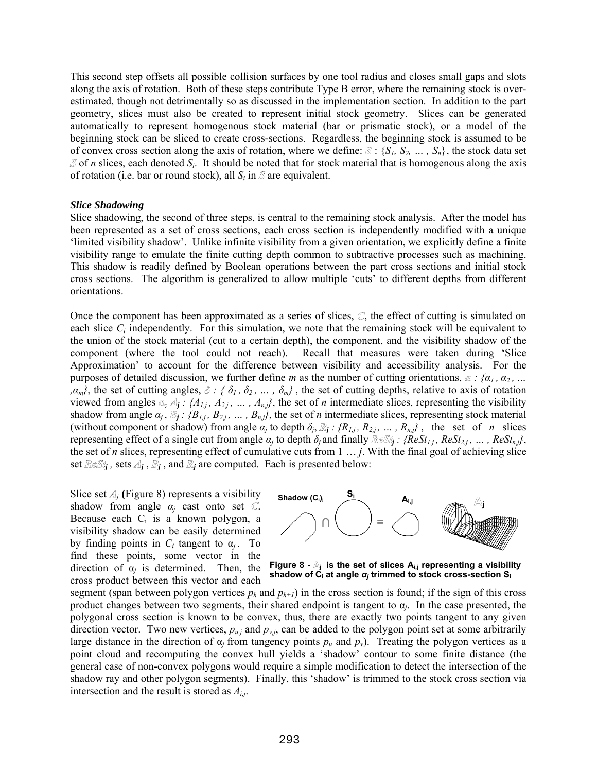This second step offsets all possible collision surfaces by one tool radius and closes small gaps and slots along the axis of rotation. Both of these steps contribute Type B error, where the remaining stock is overestimated, though not detrimentally so as discussed in the implementation section. In addition to the part geometry, slices must also be created to represent initial stock geometry. Slices can be generated automatically to represent homogenous stock material (bar or prismatic stock), or a model of the beginning stock can be sliced to create cross-sections. Regardless, the beginning stock is assumed to be of convex cross section along the axis of rotation, where we define:  $\mathcal{S}: \{S_1, S_2, \ldots, S_n\}$ , the stock data set  $\mathcal S$  of *n* slices, each denoted  $S_i$ . It should be noted that for stock material that is homogenous along the axis of rotation (i.e. bar or round stock), all  $S_i$  in  $\mathcal S$  are equivalent.

#### *Slice Shadowing*

Slice shadowing, the second of three steps, is central to the remaining stock analysis. After the model has been represented as a set of cross sections, each cross section is independently modified with a unique 'limited visibility shadow'. Unlike infinite visibility from a given orientation, we explicitly define a finite visibility range to emulate the finite cutting depth common to subtractive processes such as machining. This shadow is readily defined by Boolean operations between the part cross sections and initial stock cross sections. The algorithm is generalized to allow multiple 'cuts' to different depths from different orientations.

Once the component has been approximated as a series of slices,  $C$ , the effect of cutting is simulated on each slice *Ci* independently. For this simulation, we note that the remaining stock will be equivalent to the union of the stock material (cut to a certain depth), the component, and the visibility shadow of the component (where the tool could not reach). Recall that measures were taken during 'Slice Approximation' to account for the difference between visibility and accessibility analysis. For the purposes of detailed discussion, we further define *m* as the number of cutting orientations,  $\alpha$ :  $\{a_1, a_2, ...$ , $\alpha_m$ <sup>*f*</sup>, the set of cutting angles,  $\delta$ : {  $\delta$ <sub>*i*</sub>,  $\delta$ <sub>2</sub>, ...,  $\delta_m$ <sup>*f*</sup>, the set of cutting depths, relative to axis of rotation viewed from angles  $\mathfrak{a}_i$  *A<sub>l</sub>* : { $A_{l,i}$ ,  $A_{2,i}$ , ...,  $A_{n,i}$ }, the set of *n* intermediate slices, representing the visibility shadow from angle  $\alpha_j$ ,  $\mathcal{B}_j$ :  $\{B_{l,j}, B_{2,j}, \ldots, B_{n,j}\}$ , the set of *n* intermediate slices, representing stock material (without component or shadow) from angle  $\alpha_j$  to depth  $\delta_j$ ,  $\mathbb{R}_j$ :  $\{R_{1,j}, R_{2,j}, ..., R_{n,j}\}$ , the set of *n* slices representing effect of a single cut from angle  $\alpha_j$  to depth  $\delta_j$  and finally  $\mathbb{Res} \mathcal{C}_j$ : {ReSt<sub>1,j</sub>, ReSt<sub>2,j</sub>, ..., ReSt<sub>n,j</sub>}, the set of *n* slices, representing effect of cumulative cuts from 1 … *j*. With the final goal of achieving slice set  $\mathbb{R} \otimes \mathbb{S} \mathbb{I}_j$ , sets  $A_j$ ,  $B_j$ , and  $\mathbb{R}_j$  are computed. Each is presented below:

Slice set  $A_i$  (Figure 8) represents a visibility shadow from angle  $\alpha_i$  cast onto set  $\mathbb{C}$ . Because each  $C_i$  is a known polygon, a visibility shadow can be easily determined by finding points in  $C_i$  tangent to  $\alpha_i$ . To find these points, some vector in the direction of  $\alpha_i$  is determined. Then, the cross product between this vector and each



Figure 8 -  $\mathbb{A}_j$  is the set of slices  $A_{i,j}$  representing a visibility shadow of  $\vec{C}_i$  at angle  $\alpha_i$  trimmed to stock cross-section  $S_i$ 

segment (span between polygon vertices  $p_k$  and  $p_{k+1}$ ) in the cross section is found; if the sign of this cross product changes between two segments, their shared endpoint is tangent to α*j*. In the case presented, the polygonal cross section is known to be convex, thus, there are exactly two points tangent to any given direction vector. Two new vertices,  $p_{u,j}$  and  $p_{v,j}$ , can be added to the polygon point set at some arbitrarily large distance in the direction of  $\alpha_j$  from tangency points  $p_u$  and  $p_v$ ). Treating the polygon vertices as a point cloud and recomputing the convex hull yields a 'shadow' contour to some finite distance (the general case of non-convex polygons would require a simple modification to detect the intersection of the shadow ray and other polygon segments). Finally, this 'shadow' is trimmed to the stock cross section via intersection and the result is stored as *Ai,j*.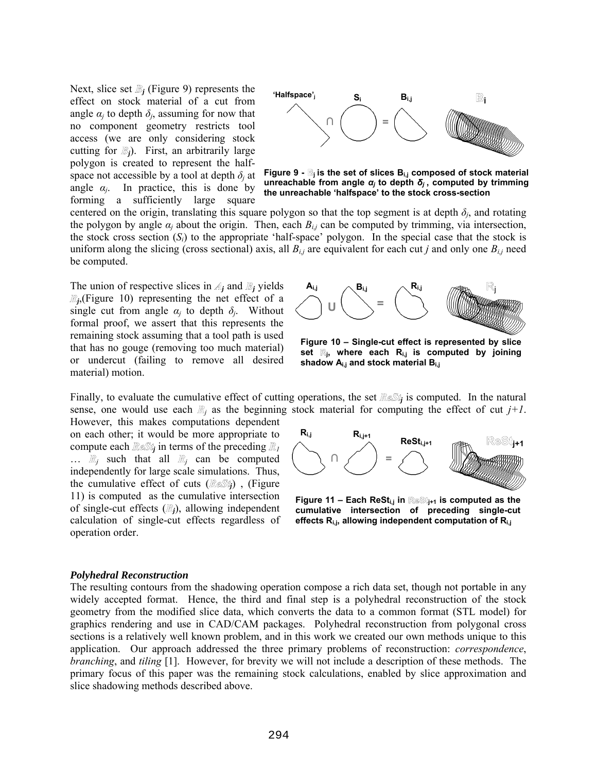Next, slice set  $\mathbb{B}_i$  (Figure 9) represents the effect on stock material of a cut from angle  $\alpha_i$  to depth  $\delta_i$ , assuming for now that no component geometry restricts tool access (we are only considering stock cutting for  $\mathbb{B}_i$ ). First, an arbitrarily large polygon is created to represent the halfspace not accessible by a tool at depth  $\delta_i$  at angle  $\alpha_i$ . In practice, this is done by forming a sufficiently large square



Figure 9 -  $\mathbb{B}_i$  is the set of slices B<sub>i,j</sub> composed of stock material **unreachable from angle** *αj* **to depth** *δj* **, computed by trimming the unreachable 'halfspace' to the stock cross-section** 

centered on the origin, translating this square polygon so that the top segment is at depth  $\delta$ *j*, and rotating the polygon by angle  $\alpha_j$  about the origin. Then, each  $B_{i,j}$  can be computed by trimming, via intersection, the stock cross section (*Si*) to the appropriate 'half-space' polygon. In the special case that the stock is uniform along the slicing (cross sectional) axis, all  $B_{i,j}$  are equivalent for each cut *j* and only one  $B_{i,j}$  need be computed.

The union of respective slices in  $A_j$  and  $B_j$  yields  $\mathbb{R}_i$ , (Figure 10) representing the net effect of a single cut from angle  $\alpha_i$  to depth  $\delta_i$ . Without formal proof, we assert that this represents the remaining stock assuming that a tool path is used that has no gouge (removing too much material) or undercut (failing to remove all desired material) motion.





Finally, to evaluate the cumulative effect of cutting operations, the set *ReS*<sup> $\alpha$ </sup> is computed. In the natural sense, one would use each  $\mathbb{R}_i$  as the beginning stock material for computing the effect of cut  $j+1$ .

However, this makes computations dependent on each other; it would be more appropriate to compute each  $\mathbb{R}e\mathbb{S}t_i$  in terms of the preceding  $\mathbb{R}_1$  $\ldots$   $\mathbb{R}_i$  such that all  $\mathbb{R}_i$  can be computed independently for large scale simulations. Thus, the cumulative effect of cuts  $(R \& \mathcal{S} \& \mathcal{U})$ , (Figure 11) is computed as the cumulative intersection of single-cut effects  $(R_i)$ , allowing independent calculation of single-cut effects regardless of operation order.



**Figure 11 – Each ReSt<sub>i,j</sub> in**  $\mathbb{R} \otimes \mathbb{S}_{l+1}$  **is computed as the cumulative intersection of preceding single-cut effects Ri,j, allowing independent computation of Ri,j**

## *Polyhedral Reconstruction*

The resulting contours from the shadowing operation compose a rich data set, though not portable in any widely accepted format. Hence, the third and final step is a polyhedral reconstruction of the stock geometry from the modified slice data, which converts the data to a common format (STL model) for graphics rendering and use in CAD/CAM packages. Polyhedral reconstruction from polygonal cross sections is a relatively well known problem, and in this work we created our own methods unique to this application. Our approach addressed the three primary problems of reconstruction: *correspondence*, *branching*, and *tiling* [1]. However, for brevity we will not include a description of these methods. The primary focus of this paper was the remaining stock calculations, enabled by slice approximation and slice shadowing methods described above.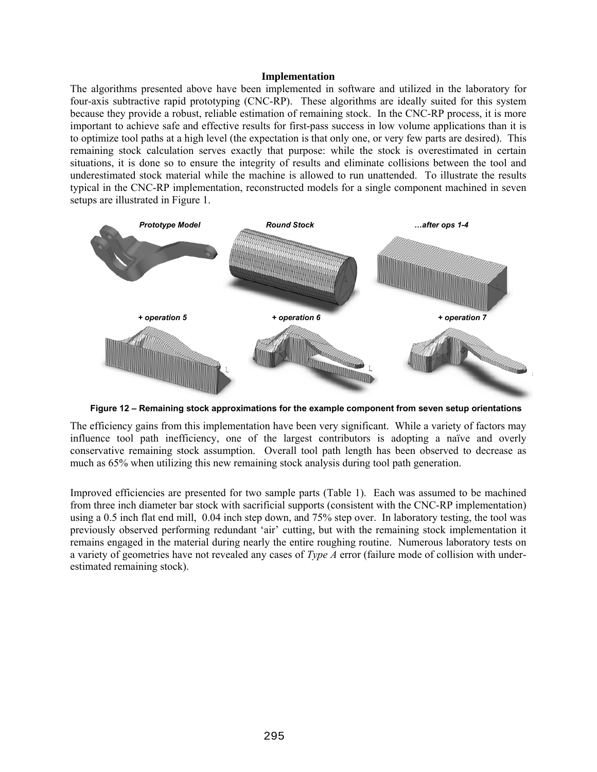#### **Implementation**

The algorithms presented above have been implemented in software and utilized in the laboratory for four-axis subtractive rapid prototyping (CNC-RP). These algorithms are ideally suited for this system because they provide a robust, reliable estimation of remaining stock. In the CNC-RP process, it is more important to achieve safe and effective results for first-pass success in low volume applications than it is to optimize tool paths at a high level (the expectation is that only one, or very few parts are desired). This remaining stock calculation serves exactly that purpose: while the stock is overestimated in certain situations, it is done so to ensure the integrity of results and eliminate collisions between the tool and underestimated stock material while the machine is allowed to run unattended. To illustrate the results typical in the CNC-RP implementation, reconstructed models for a single component machined in seven setups are illustrated in Figure 1.



**Figure 12 – Remaining stock approximations for the example component from seven setup orientations**

The efficiency gains from this implementation have been very significant. While a variety of factors may influence tool path inefficiency, one of the largest contributors is adopting a naïve and overly conservative remaining stock assumption. Overall tool path length has been observed to decrease as much as 65% when utilizing this new remaining stock analysis during tool path generation.

Improved efficiencies are presented for two sample parts (Table 1). Each was assumed to be machined from three inch diameter bar stock with sacrificial supports (consistent with the CNC-RP implementation) using a 0.5 inch flat end mill, 0.04 inch step down, and 75% step over. In laboratory testing, the tool was previously observed performing redundant 'air' cutting, but with the remaining stock implementation it remains engaged in the material during nearly the entire roughing routine. Numerous laboratory tests on a variety of geometries have not revealed any cases of *Type A* error (failure mode of collision with underestimated remaining stock).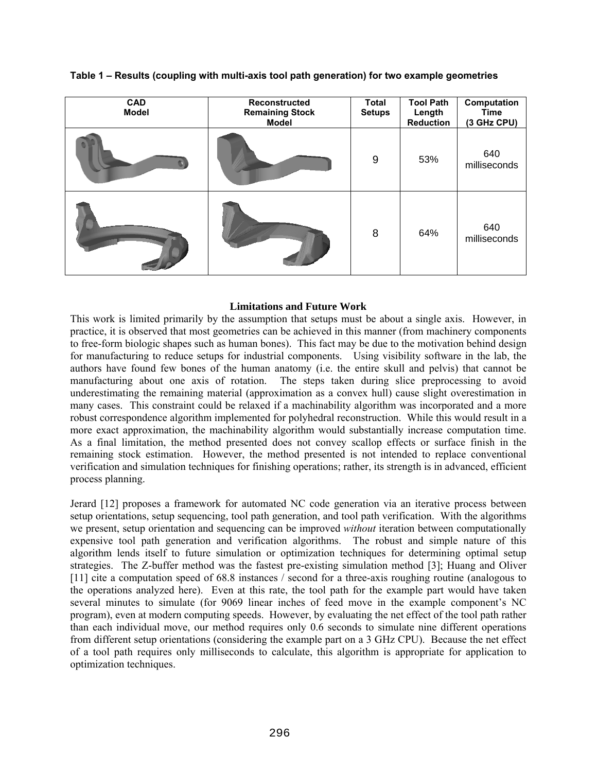| <b>CAD</b><br><b>Model</b> | Reconstructed<br><b>Remaining Stock</b><br><b>Model</b> | <b>Total</b><br><b>Setups</b> | <b>Tool Path</b><br>Length<br><b>Reduction</b> | Computation<br>Time<br>(3 GHz CPU) |
|----------------------------|---------------------------------------------------------|-------------------------------|------------------------------------------------|------------------------------------|
|                            |                                                         | 9                             | 53%                                            | 640<br>milliseconds                |
|                            |                                                         | 8                             | 64%                                            | 640<br>milliseconds                |

# **Table 1 – Results (coupling with multi-axis tool path generation) for two example geometries**

# **Limitations and Future Work**

This work is limited primarily by the assumption that setups must be about a single axis. However, in practice, it is observed that most geometries can be achieved in this manner (from machinery components to free-form biologic shapes such as human bones). This fact may be due to the motivation behind design for manufacturing to reduce setups for industrial components. Using visibility software in the lab, the authors have found few bones of the human anatomy (i.e. the entire skull and pelvis) that cannot be manufacturing about one axis of rotation. The steps taken during slice preprocessing to avoid underestimating the remaining material (approximation as a convex hull) cause slight overestimation in many cases. This constraint could be relaxed if a machinability algorithm was incorporated and a more robust correspondence algorithm implemented for polyhedral reconstruction. While this would result in a more exact approximation, the machinability algorithm would substantially increase computation time. As a final limitation, the method presented does not convey scallop effects or surface finish in the remaining stock estimation. However, the method presented is not intended to replace conventional verification and simulation techniques for finishing operations; rather, its strength is in advanced, efficient process planning.

Jerard [12] proposes a framework for automated NC code generation via an iterative process between setup orientations, setup sequencing, tool path generation, and tool path verification. With the algorithms we present, setup orientation and sequencing can be improved *without* iteration between computationally expensive tool path generation and verification algorithms. The robust and simple nature of this algorithm lends itself to future simulation or optimization techniques for determining optimal setup strategies. The Z-buffer method was the fastest pre-existing simulation method [3]; Huang and Oliver [11] cite a computation speed of 68.8 instances / second for a three-axis roughing routine (analogous to the operations analyzed here). Even at this rate, the tool path for the example part would have taken several minutes to simulate (for 9069 linear inches of feed move in the example component's NC program), even at modern computing speeds. However, by evaluating the net effect of the tool path rather than each individual move, our method requires only 0.6 seconds to simulate nine different operations from different setup orientations (considering the example part on a 3 GHz CPU). Because the net effect of a tool path requires only milliseconds to calculate, this algorithm is appropriate for application to optimization techniques.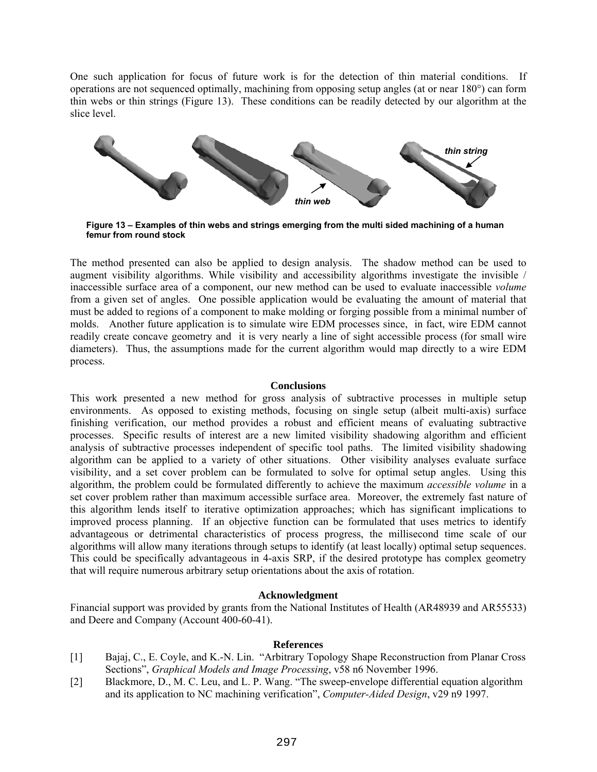One such application for focus of future work is for the detection of thin material conditions. If operations are not sequenced optimally, machining from opposing setup angles (at or near 180°) can form thin webs or thin strings (Figure 13). These conditions can be readily detected by our algorithm at the slice level.



**Figure 13 – Examples of thin webs and strings emerging from the multi sided machining of a human femur from round stock** 

The method presented can also be applied to design analysis. The shadow method can be used to augment visibility algorithms. While visibility and accessibility algorithms investigate the invisible / inaccessible surface area of a component, our new method can be used to evaluate inaccessible *volume* from a given set of angles. One possible application would be evaluating the amount of material that must be added to regions of a component to make molding or forging possible from a minimal number of molds. Another future application is to simulate wire EDM processes since, in fact, wire EDM cannot readily create concave geometry and it is very nearly a line of sight accessible process (for small wire diameters). Thus, the assumptions made for the current algorithm would map directly to a wire EDM process.

#### **Conclusions**

This work presented a new method for gross analysis of subtractive processes in multiple setup environments. As opposed to existing methods, focusing on single setup (albeit multi-axis) surface finishing verification, our method provides a robust and efficient means of evaluating subtractive processes. Specific results of interest are a new limited visibility shadowing algorithm and efficient analysis of subtractive processes independent of specific tool paths. The limited visibility shadowing algorithm can be applied to a variety of other situations. Other visibility analyses evaluate surface visibility, and a set cover problem can be formulated to solve for optimal setup angles. Using this algorithm, the problem could be formulated differently to achieve the maximum *accessible volume* in a set cover problem rather than maximum accessible surface area. Moreover, the extremely fast nature of this algorithm lends itself to iterative optimization approaches; which has significant implications to improved process planning. If an objective function can be formulated that uses metrics to identify advantageous or detrimental characteristics of process progress, the millisecond time scale of our algorithms will allow many iterations through setups to identify (at least locally) optimal setup sequences. This could be specifically advantageous in 4-axis SRP, if the desired prototype has complex geometry that will require numerous arbitrary setup orientations about the axis of rotation.

## **Acknowledgment**

Financial support was provided by grants from the National Institutes of Health (AR48939 and AR55533) and Deere and Company (Account 400-60-41).

## **References**

- [1] Bajaj, C., E. Coyle, and K.-N. Lin. "Arbitrary Topology Shape Reconstruction from Planar Cross Sections", *Graphical Models and Image Processing*, v58 n6 November 1996.
- [2] Blackmore, D., M. C. Leu, and L. P. Wang. "The sweep-envelope differential equation algorithm and its application to NC machining verification", *Computer-Aided Design*, v29 n9 1997.